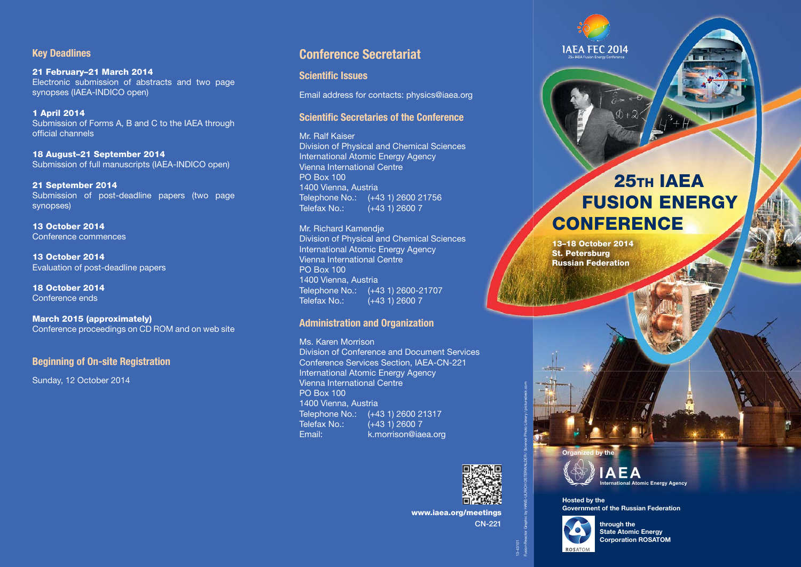#### **Key Deadlines**

**21 February–21 March 2014**  Electronic submission of abstracts and two page synopses (IAEA-INDICO open)

**1 April 2014**  Submission of Forms A, B and C to the IAEA through official channels

**18 August–21 September 2014**  Submission of full manuscripts (IAEA-INDICO open)

**21 September 2014**  Submission of post-deadline papers (two page synopses)

**13 October 2014**  Conference commences

**13 October 2014**  Evaluation of post-deadline papers

**18 October 2014**  Conference ends

**March 2015 (approximately)** Conference proceedings on CD ROM and on web site

#### **Beginning of On-site Registration**

Sunday, 12 October 2014

#### **Conference Secretariat**

**Scientific Issues** 

Email address for contacts: physics@iaea.org

#### **Scientific Secretaries of the Conference**

Mr. Ralf Kaiser Division of Physical and Chemical Sciences International Atomic Energy Agency Vienna International Centre PO Box 100 1400 Vienna, Austria Telephone No.: (+43 1) 2600 21756 Telefax No.: (+43 1) 2600 7

#### Mr. Richard Kamendje

Division of Physical and Chemical Sciences International Atomic Energy Agency Vienna International Centre PO Box 100 1400 Vienna, Austria Telephone No.: (+43 1) 2600-21707<br>Telefax No.: (+43 1) 2600 7  $(+43 1) 2600 7$ 

#### **Administration and Organization**

Ms. Karen Morrison Division of Conference and Document Services Conference Services Section, IAEA-CN-221 International Atomic Energy Agency Vienna International Centre PO Box 100 1400 Vienna, Austria Telephone No.: (+43 1) 2600 21317 Telefax No.: (+43 1) 2600 7 Email: k.morrison@iaea.org



**www.iaea.org/meetings**

**CN-221**

13-43101

Fusion Reactor Graphic by HANS-ULRICH OSTERWALDER / Science Photo Library / picturedesk.com

# **JAEA FEC 2014**

# **25тн IAEA FUSION ENERGY CONFERENCE**

**13–18 October 2014 St. Petersburg Russian Federation**





**Hosted by the Government of the Russian Federation**



**through the State Atomic Energy Corporation ROSATOM**